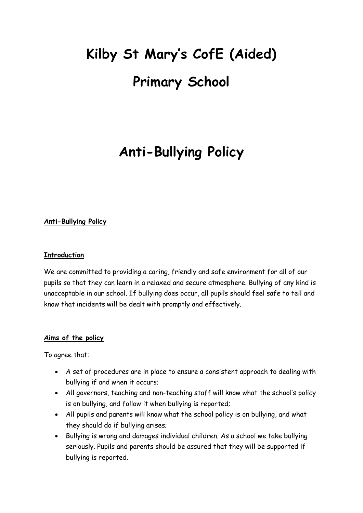# **Kilby St Mary's CofE (Aided) Primary School**

# **Anti-Bullying Policy**

## **Anti-Bullying Policy**

### **Introduction**

We are committed to providing a caring, friendly and safe environment for all of our pupils so that they can learn in a relaxed and secure atmosphere. Bullying of any kind is unacceptable in our school. If bullying does occur, all pupils should feel safe to tell and know that incidents will be dealt with promptly and effectively.

#### **Aims of the policy**

To agree that:

- A set of procedures are in place to ensure a consistent approach to dealing with bullying if and when it occurs;
- All governors, teaching and non-teaching staff will know what the school's policy is on bullying, and follow it when bullying is reported;
- All pupils and parents will know what the school policy is on bullying, and what they should do if bullying arises;
- Bullying is wrong and damages individual children. As a school we take bullying seriously. Pupils and parents should be assured that they will be supported if bullying is reported.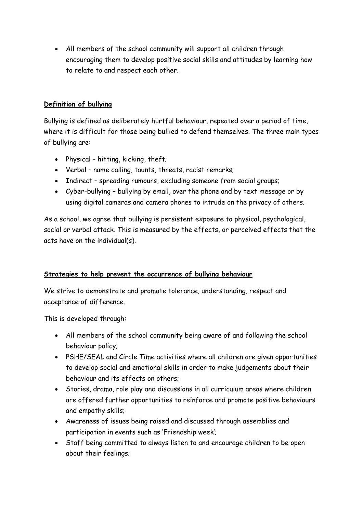All members of the school community will support all children through encouraging them to develop positive social skills and attitudes by learning how to relate to and respect each other.

# **Definition of bullying**

Bullying is defined as deliberately hurtful behaviour, repeated over a period of time, where it is difficult for those being bullied to defend themselves. The three main types of bullying are:

- Physical hitting, kicking, theft;
- Verbal name calling, taunts, threats, racist remarks;
- Indirect spreading rumours, excluding someone from social groups;
- Cyber-bullying bullying by email, over the phone and by text message or by using digital cameras and camera phones to intrude on the privacy of others.

As a school, we agree that bullying is persistent exposure to physical, psychological, social or verbal attack. This is measured by the effects, or perceived effects that the acts have on the individual(s).

# **Strategies to help prevent the occurrence of bullying behaviour**

We strive to demonstrate and promote tolerance, understanding, respect and acceptance of difference.

This is developed through:

- All members of the school community being aware of and following the school behaviour policy;
- PSHE/SEAL and Circle Time activities where all children are given opportunities to develop social and emotional skills in order to make judgements about their behaviour and its effects on others;
- Stories, drama, role play and discussions in all curriculum areas where children are offered further opportunities to reinforce and promote positive behaviours and empathy skills;
- Awareness of issues being raised and discussed through assemblies and participation in events such as 'Friendship week';
- Staff being committed to always listen to and encourage children to be open about their feelings;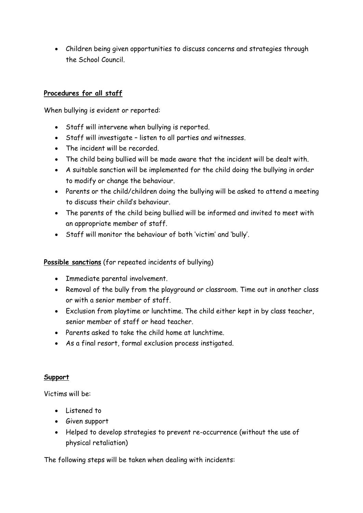Children being given opportunities to discuss concerns and strategies through the School Council.

# **Procedures for all staff**

When bullying is evident or reported:

- Staff will intervene when bullying is reported.
- Staff will investigate listen to all parties and witnesses.
- The incident will be recorded.
- The child being bullied will be made aware that the incident will be dealt with.
- A suitable sanction will be implemented for the child doing the bullying in order to modify or change the behaviour.
- Parents or the child/children doing the bullying will be asked to attend a meeting to discuss their child's behaviour.
- The parents of the child being bullied will be informed and invited to meet with an appropriate member of staff.
- Staff will monitor the behaviour of both 'victim' and 'bully'.

#### **Possible sanctions** (for repeated incidents of bullying)

- Immediate parental involvement.
- Removal of the bully from the playground or classroom. Time out in another class or with a senior member of staff.
- Exclusion from playtime or lunchtime. The child either kept in by class teacher, senior member of staff or head teacher.
- Parents asked to take the child home at lunchtime.
- As a final resort, formal exclusion process instigated.

#### **Support**

Victims will be:

- Listened to
- Given support
- Helped to develop strategies to prevent re-occurrence (without the use of physical retaliation)

The following steps will be taken when dealing with incidents: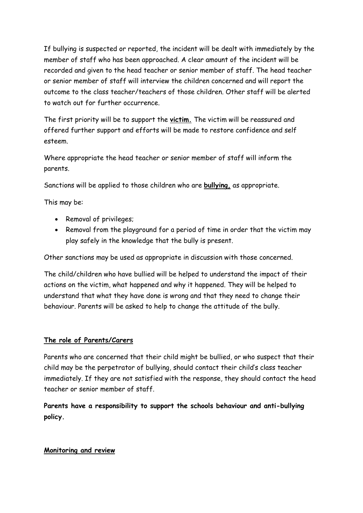If bullying is suspected or reported, the incident will be dealt with immediately by the member of staff who has been approached. A clear amount of the incident will be recorded and given to the head teacher or senior member of staff. The head teacher or senior member of staff will interview the children concerned and will report the outcome to the class teacher/teachers of those children. Other staff will be alerted to watch out for further occurrence.

The first priority will be to support the **victim.** The victim will be reassured and offered further support and efforts will be made to restore confidence and self esteem.

Where appropriate the head teacher or senior member of staff will inform the parents.

Sanctions will be applied to those children who are **bullying,** as appropriate.

This may be:

- Removal of privileges;
- Removal from the playground for a period of time in order that the victim may play safely in the knowledge that the bully is present.

Other sanctions may be used as appropriate in discussion with those concerned.

The child/children who have bullied will be helped to understand the impact of their actions on the victim, what happened and why it happened. They will be helped to understand that what they have done is wrong and that they need to change their behaviour. Parents will be asked to help to change the attitude of the bully.

#### **The role of Parents/Carers**

Parents who are concerned that their child might be bullied, or who suspect that their child may be the perpetrator of bullying, should contact their child's class teacher immediately. If they are not satisfied with the response, they should contact the head teacher or senior member of staff.

**Parents have a responsibility to support the schools behaviour and anti-bullying policy.**

# **Monitoring and review**